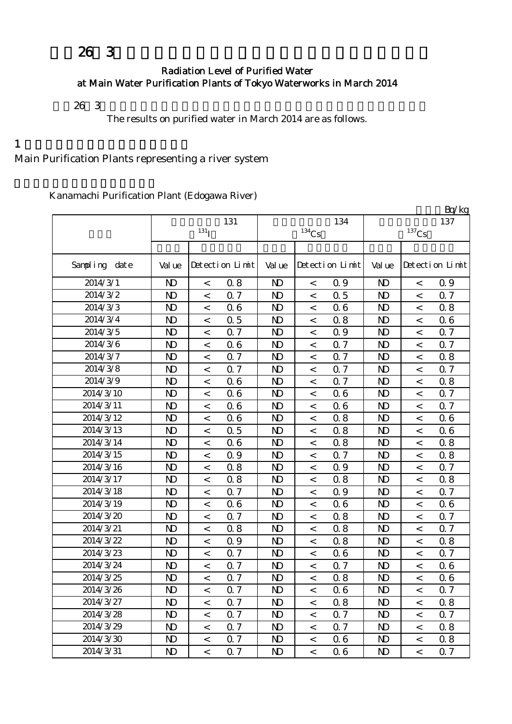# $263$

#### Radiation Level of Purified Water at Main Water Purification Plants of Tokyo Waterworks in March 2014

 $26 \t3$ 

The results on purified water in March 2014 are as follows.

 $1$ 

## Main Purification Plants representing a river system

Kanamachi Purification Plant (Edogawa River)

|               |                |                    |                 |                |                     |                 |                     |         | Bq/kg           |  |
|---------------|----------------|--------------------|-----------------|----------------|---------------------|-----------------|---------------------|---------|-----------------|--|
|               |                | 131                |                 |                | 134                 | 137             |                     |         |                 |  |
|               |                | $131$ <sub>I</sub> |                 |                | $^{134}\mathrm{Cs}$ |                 | $^{137}\mathrm{Cs}$ |         |                 |  |
|               |                |                    |                 |                |                     |                 |                     |         |                 |  |
| Sampling date | Val ue         |                    | Detection Limit | Val ue         |                     | Detection Limit | Val ue              |         | Detection Limit |  |
| 2014/3/1      | N <sub>D</sub> | $\,<\,$            | 0.8             | N <sub>D</sub> | $\,<\,$             | 0.9             | N <sub>D</sub>      | $\,<\,$ | 0.9             |  |
| 2014/3/2      | $\mathbf{D}$   | $\,<$              | 0.7             | $\mathbf{D}$   | $\,<$               | 0.5             | N <sub>D</sub>      | $\,<$   | 0.7             |  |
| 2014/3/3      | $\mathbf{D}$   | $\,<$              | 06              | $\mathbf{D}$   | $\,<\,$             | 0.6             | $\mathbf{D}$        | $\lt$   | 0.8             |  |
| 2014/3/4      | N <sub>D</sub> | $\,<$              | 0.5             | N <sub>D</sub> | $\,<$               | 0.8             | N <sub>D</sub>      | $\prec$ | 06              |  |
| 2014/3/5      | N <sub>D</sub> | $\,<$              | 0.7             | N <sub>D</sub> | $\,<\,$             | 0.9             | N <sub>D</sub>      | $\,<\,$ | 0.7             |  |
| 2014/3/6      | $\mathbf{D}$   | $\,<$              | 06              | N <sub>D</sub> | $\,<\,$             | 0.7             | N <sub>D</sub>      | $\,<\,$ | Q 7             |  |
| 2014/3/7      | $\mathbf{D}$   | $\,<$              | 0.7             | $\mathbf{D}$   | $\,<$               | 0.7             | N <sub>D</sub>      | $\,<$   | 0.8             |  |
| 2014/3/8      | $\mathbf{D}$   | $\,<$              | Q 7             | N <sub>D</sub> | $\,<\,$             | 0.7             | N <sub>D</sub>      | $\,<\,$ | 0.7             |  |
| 2014/3/9      | N <sub>D</sub> | $\,<$              | 06              | N <sub>D</sub> | $\,<$               | 0.7             | N <sub>D</sub>      | $\lt$   | 0.8             |  |
| 2014/3/10     | N <sub>D</sub> | $\,<$              | 06              | N <sub>D</sub> | $\,<\,$             | 06              | N <sub>D</sub>      | $\,<\,$ | 0.7             |  |
| 2014/3/11     | $\mathbf{D}$   | $\,<$              | 06              | $\mathbf{D}$   | $\,<\,$             | 0.6             | $\mathbf{D}$        | $\,<$   | Q 7             |  |
| 2014/3/12     | N <sub>D</sub> | $\lt$              | 06              | N <sub>D</sub> | $\,<\,$             | 0.8             | N <sub>D</sub>      | $\,<\,$ | 06              |  |
| 2014/3/13     | N <sub>D</sub> | $\,<$              | 0.5             | N <sub>D</sub> | $\,<$               | 0.8             | N <sub>D</sub>      | $\,<\,$ | 06              |  |
| 2014/3/14     | N <sub>D</sub> | $\,<$              | 06              | N <sub>D</sub> | $\,<\,$             | 0.8             | N <sub>D</sub>      | $\,<\,$ | 0.8             |  |
| 2014/3/15     | $\mathbf{D}$   | $\,<$              | 0.9             | $\mathbf{D}$   | $\,<$               | 0.7             | N <sub>D</sub>      | $\,<$   | 0.8             |  |
| 2014/3/16     | N <sub>D</sub> | $\,<$              | 0.8             | N <sub>D</sub> | $\,<\,$             | 0.9             | N <sub>D</sub>      | $\,<\,$ | 0.7             |  |
| 2014/3/17     | N <sub>D</sub> | $\,<$              | 0.8             | N <sub>D</sub> | $\,<$               | 0.8             | N <sub>D</sub>      | $\prec$ | 0.8             |  |
| 2014/3/18     | N <sub>D</sub> | $\,<$              | 0.7             | N <sub>D</sub> | $\,<$               | 0.9             | N <sub>D</sub>      | $\,<$   | 0.7             |  |
| 2014/3/19     | $\mathbf{D}$   | $\,<$              | 06              | $\mathbf{D}$   | $\,<$               | 06              | N <sub>D</sub>      | $\,<$   | 06              |  |
| 2014/3/20     | N <sub>D</sub> | $\,<$              | 0.7             | N <sub>D</sub> | $\,<\,$             | 0.8             | N <sub>D</sub>      | $\,<$   | 0.7             |  |
| 2014/3/21     | N <sub>D</sub> | $\,<$              | 0.8             | N <sub>D</sub> | $\,<\,$             | 0.8             | N <sub>D</sub>      | $\,<$   | 0.7             |  |
| 2014/3/22     | N <sub>D</sub> | $\,<$              | 0.9             | N <sub>D</sub> | $\,<\,$             | 0.8             | $\mathbf{D}$        | $\,<$   | 0.8             |  |
| 2014/3/23     | $\mathbf{D}$   | $\,<$              | 0.7             | $\mathbf{D}$   | $\,<$               | 0.6             | N <sub>D</sub>      | $\,<$   | 0.7             |  |
| 2014/3/24     | $\mathbf{D}$   | $\,<$              | Q 7             | $\mathbf{D}$   | $\,<\,$             | 0.7             | N <sub>D</sub>      | $\,<\,$ | 06              |  |
| 2014/3/25     | N <sub>D</sub> | $\,<$              | 0.7             | N <sub>D</sub> | $\,<$               | 0.8             | N <sub>D</sub>      | $\lt$   | 06              |  |
| 2014/3/26     | ND             | $\,<\,$            | Q <sub>7</sub>  | N)             | $\,<\,$             | 06              | ND                  | $\,<\,$ | Q <sub>7</sub>  |  |
| 2014/3/27     | $\mathbf{D}$   | $\,<$              | Q <sub>7</sub>  | $\mathbf{D}$   | $\,<$               | 0.8             | N <sub>D</sub>      | $\,<\,$ | 0.8             |  |
| 2014/3/28     | N <sub>D</sub> | $\,<\,$            | 0.7             | N <sub>D</sub> | $\,<$               | 0.7             | N <sub>D</sub>      | $\,<\,$ | 0.7             |  |
| 2014/3/29     | N <sub>D</sub> | $\,<\,$            | 0.7             | N <sub>D</sub> | $\,<\,$             | 0.7             | N <sub>D</sub>      | $\,<\,$ | 0.8             |  |
| 2014/3/30     | N <sub>D</sub> | $\,<$              | 0.7             | N <sub>D</sub> | $\,<$               | 0.6             | N <sub>D</sub>      | $\,<\,$ | 0.8             |  |
| 2014/3/31     | N <sub>D</sub> | $\,<\,$            | 0.7             | N <sub>D</sub> | $\,<$               | 0.6             | N <sub>D</sub>      | $\,<\,$ | 0.7             |  |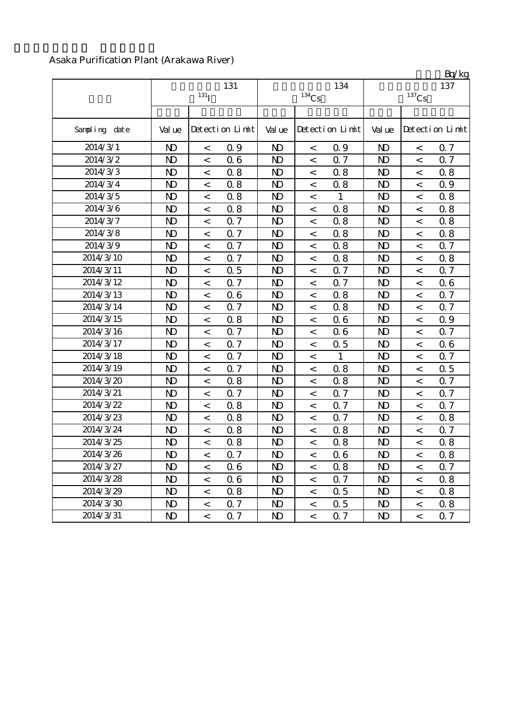#### Asaka Purification Plant (Arakawa River)

|               | 131<br>131 <sub>I</sub> |                          |                 |                | $134$ Cs                 | 134             |                | BQ/Kg<br>137             |                 |
|---------------|-------------------------|--------------------------|-----------------|----------------|--------------------------|-----------------|----------------|--------------------------|-----------------|
|               |                         |                          |                 |                |                          |                 |                |                          |                 |
| Sampling date | Val ue                  |                          | Detection Limit | Val ue         |                          | Detection Limit | Val ue         |                          | Detection Limit |
| 2014/3/1      | $\mathbf{D}$            | $\overline{\phantom{0}}$ | 0.9             | $\mathbf{N}$   | $\overline{\phantom{0}}$ | 0.9             | $\mathbf{D}$   | $\,<$                    | <b>Q</b> 7      |
| 2014/3/2      | $\mathbf{D}$            | $\,<\,$                  | 06              | $\mathbf{D}$   | $\,<\,$                  | 0.7             | $\mathbf{D}$   | $\,<\,$                  | 0.7             |
| 2014/3/3      | $\mathbf{D}$            | $\,<\,$                  | 0.8             | N <sub>D</sub> | $\,<\,$                  | 0.8             | $\mathbf{D}$   | $\,<\,$                  | 0.8             |
| 2014/3/4      | $\mathbf{D}$            | $\,<$                    | 0.8             | N <sub>D</sub> | $\,<\,$                  | 0.8             | $\mathbf{D}$   | $\,<\,$                  | Q 9             |
| 2014/3/5      | $\mathbf{D}$            | $\,<\,$                  | 0.8             | $\mathbf{D}$   | $\,<\,$                  | $\mathbf{1}$    | $\mathbf{D}$   | $\,<$                    | 0.8             |
| 2014/3/6      | $\mathbf{D}$            | $\,<$                    | 0.8             | $\mathbf{D}$   | $\,<\,$                  | 0.8             | $\mathbf{D}$   | $\,<$                    | 0.8             |
| 2014/3/7      | $\mathbf{D}$            | $\,<$                    | 0.7             | N <sub>D</sub> | $\,<$                    | 0.8             | $\mathbf{D}$   | $\,<$                    | 0.8             |
| 2014/3/8      | $\mathbf{D}$            | $\,<$                    | Q 7             | $\mathbf{D}$   | $\,<\,$                  | 0.8             | $\mathbf{D}$   | $\,<$                    | 0.8             |
| 2014/3/9      | $\mathbf{D}$            | $\overline{<}$           | Q <sub>7</sub>  | N <sub>D</sub> | $\,<\,$                  | 0.8             | $\mathbf{D}$   | $\,<$                    | 0.7             |
| 2014/3/10     | $\mathbf{D}$            | $\,<\,$                  | 0.7             | $\mathbf{D}$   | $\overline{\phantom{0}}$ | 0.8             | $\mathbf{D}$   | $\,<$                    | 0.8             |
| 2014/3/11     | $\mathbf{D}$            | $\overline{\phantom{0}}$ | 0.5             | $\mathbf{D}$   | $\,<\,$                  | 0.7             | $\mathbf{D}$   | $\overline{\phantom{a}}$ | 0.7             |
| 2014/3/12     | $\mathbf{D}$            | $\lt$                    | 0.7             | N <sub>D</sub> | $\overline{\phantom{0}}$ | Q 7             | $\mathbf{D}$   | $\prec$                  | 06              |
| 2014/3/13     | $\mathbf{D}$            | $\overline{a}$           | 06              | $\mathbf{D}$   | $\,<\,$                  | 0.8             | $\mathbf{D}$   | $\overline{\phantom{a}}$ | Q 7             |
| 2014/3/14     | $\mathbf{D}$            | $\lt$                    | Q <sub>7</sub>  | $\mathbf{D}$   | $\lt$                    | 0.8             | $\mathbf{D}$   | $\,<$                    | Q <sub>7</sub>  |
| 2014/3/15     | N <sub>D</sub>          | $\,<\,$                  | 0.8             | N <sub>D</sub> | $\,<\,$                  | 0.6             | N <sub>D</sub> | $\lt$                    | 0.9             |
| 2014/3/16     | $\mathbf{D}$            | $\,<\,$                  | 0.7             | N <sub>D</sub> | $\lt$                    | 0.6             | $\mathbf{D}$   | $\,<$                    | <b>Q</b> 7      |
| 2014/3/17     | N <sub>D</sub>          | $\,<$                    | 0.7             | N <sub>D</sub> | $\,<\,$                  | 0.5             | N <sub>D</sub> | $\,<$                    | 06              |
| 2014/3/18     | $\mathbf{D}$            | $\overline{<}$           | 0.7             | $\mathbf{D}$   | $\,<\,$                  | 1               | $\mathbf{D}$   | $\overline{a}$           | 0.7             |
| 2014/3/19     | $\mathbf{D}$            | $\lt$                    | 0.7             | $\mathbf{D}$   | $\,<$                    | $0.8\,$         | $\mathbf{D}$   | $\,<\,$                  | 0.5             |
| 2014/3/20     | $\mathbf{D}$            | $\,<\,$                  | 0.8             | $\mathbf{D}$   | $\,<$                    | 0.8             | N <sub>D</sub> | $\,<\,$                  | 0.7             |
| 2014/3/21     | $\mathbf{D}$            | $\,<\,$                  | 0.7             | $\mathbf{D}$   | $\,<\,$                  | 0.7             | $\mathbf{D}$   | $\,<\,$                  | 0.7             |
| 2014/3/22     | $\mathbf{D}$            | $\,<$                    | 0.8             | $\mathbf{D}$   | $\,<\,$                  | 0.7             | N <sub>D</sub> | $\,<$                    | 0.7             |
| 2014/3/23     | $\mathbf{D}$            | $\,<\,$                  | 0.8             | $\mathbf{D}$   | $\lt$                    | 0.7             | $\mathbf{D}$   | $\,<\,$                  | 0.8             |
| 2014/3/24     | $\mathbf{D}$            | $\,<$                    | 0.8             | $\mathbf{D}$   | $\,<\,$                  | 0.8             | $\mathbf{D}$   | $\,<$                    | 0.7             |
| 2014/3/25     | $\mathbf{D}$            | $\,<\,$                  | 0.8             | $\mathbf{D}$   | $\,<\,$                  | 0.8             | $\mathbf{D}$   | $\,<$                    | 0.8             |
| 2014/3/26     | $\mathbf{D}$            | $\,<\,$                  | 0.7             | $\mathbf{D}$   | $\,<\,$                  | 0.6             | $\mathbf{D}$   | $\,<\,$                  | 0.8             |
| 2014/3/27     | $\mathbf{D}$            | $\,<\,$                  | 06              | $\mathbf{D}$   | $\,<\,$                  | 0.8             | $\mathbf{D}$   | $\,<\,$                  | 0.7             |
| 2014/3/28     | $\mathbf{D}$            | $\,<\,$                  | 06              | $\mathbf{D}$   | $\,<\,$                  | 0.7             | $\mathbf{D}$   | $\,<\,$                  | 0.8             |
| 2014/3/29     | $\mathbf{D}$            | $\,<$                    | 0.8             | $\mathbf{D}$   | $\,<\,$                  | 0.5             | $\mathbf{D}$   | $\,<$                    | 0.8             |
| 2014/3/30     | $\mathbf{D}$            | $\,<$                    | Q 7             | $\mathbf{D}$   | $\,<\,$                  | 0.5             | $\mathbf{D}$   | $\,<\,$                  | 0.8             |
| 2014/3/31     | $\mathbf{D}$            | $\,<$                    | 0.7             | $\mathbf{D}$   | $\,<$                    | 0.7             | $\mathbf{D}$   | $\overline{<}$           | 0.7             |

 $R_{\alpha}/k$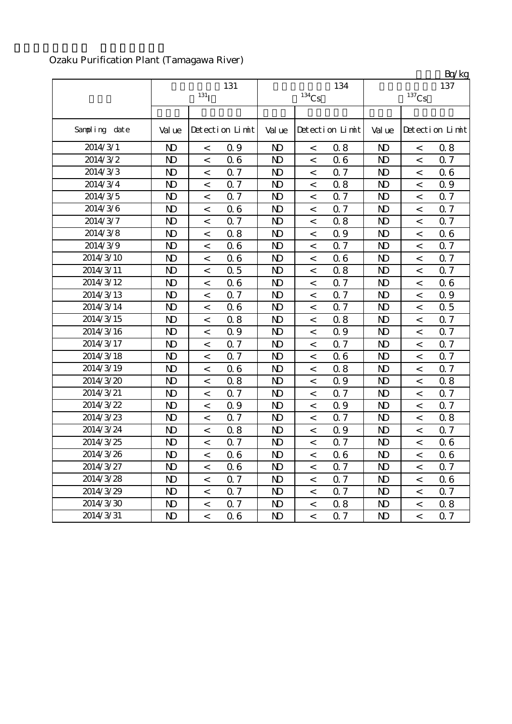## Ozaku Purification Plant (Tamagawa River)

|               |                |                          | 131             |                |                     | 134             | Bq/kg<br>137   |                          |                 |  |
|---------------|----------------|--------------------------|-----------------|----------------|---------------------|-----------------|----------------|--------------------------|-----------------|--|
|               |                | 131 <sub>I</sub>         |                 |                | $^{134}\mathrm{Cs}$ |                 |                | $^{137}\mathrm{Cs}$      |                 |  |
|               |                |                          |                 |                |                     |                 |                |                          |                 |  |
| Sampling date | Val ue         |                          | Detection Limit | Val ue         |                     | Detection Limit | Val ue         |                          | Detection Limit |  |
| 2014/3/1      | $\mathbf{D}$   | $\,<$                    | 0.9             | $\mathbf{D}$   | $\,<$               | 0.8             | $\mathbf{D}$   | $\,<$                    | 0.8             |  |
| 2014/3/2      | $\mathbf{D}$   | $\,<$                    | 06              | N <sub>D</sub> | $\,<$               | 06              | $\mathbf{D}$   | $\overline{a}$           | 0.7             |  |
| 2014/3/3      | $\mathbf{D}$   | $\,<$                    | 0.7             | N <sub>D</sub> | $\,<$               | 0.7             | N <sub>D</sub> | $\,<$                    | 06              |  |
| 2014/3/4      | $\mathbf{D}$   | $\,<$                    | 0.7             | $\mathbf{D}$   | $\,<\,$             | 0.8             | $\mathbf{D}$   | $\,<\,$                  | Q 9             |  |
| 2014/3/5      | N <sub>D</sub> | $\overline{\phantom{0}}$ | <b>Q</b> 7      | N <sub>D</sub> | $\,<$               | 0.7             | $\mathbf{D}$   | $\prec$                  | 0.7             |  |
| 2014/3/6      | $\mathbf{D}$   | $\,<$                    | 06              | N <sub>D</sub> | $\,<\,$             | 0.7             | N <sub>D</sub> | $\prec$                  | 0.7             |  |
| 2014/3/7      | $\mathbf{D}$   | $\,<$                    | 0.7             | N <sub>D</sub> | $\,<$               | 0.8             | $\mathbf{D}$   | $\,<$                    | <b>Q</b> 7      |  |
| 2014/3/8      | $\mathbf{D}$   | $\,<$                    | 0.8             | N <sub>D</sub> | $\,<$               | 0.9             | N <sub>D</sub> | $\,<$                    | 06              |  |
| 2014/3/9      | $\mathbf{D}$   | $\,<$                    | 06              | N <sub>D</sub> | $\,<$               | 0.7             | $\mathbf{D}$   | $\,<$                    | 0.7             |  |
| 2014/3/10     | N <sub>D</sub> | $\,<\,$                  | 06              | N <sub>D</sub> | $\,<\,$             | 0.6             | $\mathbf{D}$   | $\prec$                  | 0.7             |  |
| 2014/3/11     | $\mathbf{D}$   | $\,<$                    | 0.5             | N <sub>D</sub> | $\,<$               | 0.8             | N <sub>D</sub> | $\,<\,$                  | Q 7             |  |
| 2014/3/12     | $\mathbf{D}$   | $\,<$                    | 06              | $\mathbf{D}$   | $\,<$               | Q 7             | $\mathbf{D}$   | $\,<$                    | 06              |  |
| 2014/3/13     | $\mathbf{D}$   | $\,<$                    | 0.7             | N <sub>D</sub> | $\,<$               | 0.7             | N <sub>D</sub> | $\,<$                    | 0.9             |  |
| 2014/3/14     | $\mathbf{D}$   | $\,<$                    | 06              | N <sub>D</sub> | $\,<\,$             | 0.7             | $\mathbf{D}$   | $\,<$                    | 0.5             |  |
| 2014/3/15     | $\mathbf{D}$   | $\,<$                    | 0.8             | N <sub>D</sub> | $\,<$               | 0.8             | $\mathbf{D}$   | $\,<$                    | 0.7             |  |
| 2014/3/16     | $\mathbf{D}$   | $\,<$                    | 0.9             | N <sub>D</sub> | $\,<$               | 0.9             | N <sub>D</sub> | $\,<$                    | Q 7             |  |
| 2014/3/17     | $\mathbf{D}$   | $\,<$                    | 0.7             | $\mathbf{D}$   | $\,<\,$             | 0.7             | $\mathbf{D}$   | $\,<$                    | 0.7             |  |
| 2014/3/18     | N <sub>D</sub> | $\overline{\phantom{0}}$ | 0.7             | N <sub>D</sub> | $\,<\,$             | 0.6             | $\mathbf{D}$   | $\,<\,$                  | 0.7             |  |
| 2014/3/19     | $\mathbf{D}$   | $\,<$                    | 06              | N <sub>D</sub> | $\,<\,$             | 0.8             | N <sub>D</sub> | $\,<$                    | 0.7             |  |
| 2014/3/20     | $\mathbf{D}$   | $\,<$                    | 0.8             | $\mathbf{D}$   | $\,<$               | 0.9             | $\mathbf{D}$   | $\,<$                    | 0.8             |  |
| 2014/3/21     | $\mathbf{D}$   | $\,<$                    | Q 7             | N <sub>D</sub> | $\,<$               | 0.7             | N <sub>D</sub> | $\overline{\phantom{0}}$ | 0.7             |  |
| 2014/3/22     | $\mathbf{D}$   | $\,<$                    | 0.9             | N <sub>D</sub> | $\,<\,$             | 0.9             | $\mathbf{D}$   | $\,<$                    | 0.7             |  |
| 2014/3/23     | N <sub>D</sub> | $\,<$                    | 0.7             | N <sub>D</sub> | $\,<\,$             | 0.7             | $\mathbf{D}$   | $\overline{a}$           | 0.8             |  |
| 2014/3/24     | N <sub>D</sub> | $\,<$                    | 0.8             | N <sub>D</sub> | $\,<$               | 0.9             | N <sub>D</sub> | $\,<$                    | 0.7             |  |
| 2014/3/25     | $\mathbf{D}$   | $\,<$                    | 0.7             | $\mathbf{D}$   | $\,<$               | 0.7             | $\mathbf{D}$   | $\,<$                    | 06              |  |
| 2014/3/26     | $\mathbf{D}$   | $\overline{a}$           | 06              | N <sub>D</sub> | $\lt$               | 0.6             | $\mathbf{D}$   | $\overline{a}$           | 06              |  |
| 2014/3/27     | N <sub>D</sub> | $\,<\,$                  | 06              | N <sub>D</sub> | $\,<\,$             | 0.7             | N <sub>D</sub> | $\,<\,$                  | 0.7             |  |
| 2014/3/28     | N <sub>D</sub> | $\,<\,$                  | 0.7             | N <sub>D</sub> | $\,<\,$             | 0.7             | N <sub>D</sub> | $\,<\,$                  | 06              |  |
| 2014/3/29     | N <sub>D</sub> | $\,<$                    | 0.7             | N <sub>D</sub> | $\,<$               | 0.7             | N <sub>D</sub> | $\,<\,$                  | 0.7             |  |
| 2014/3/30     | N <sub>D</sub> | $\,<\,$                  | 0.7             | N <sub>D</sub> | $\,<\,$             | 0.8             | N <sub>D</sub> | $\,<\,$                  | 08              |  |
| 2014/3/31     | ND.            | $\,<\,$                  | 06              | $\mathbf{D}$   | $\,<$               | 0.7             | N <sub>D</sub> | $\,<\,$                  | 0.7             |  |

 $R_{\alpha}/k$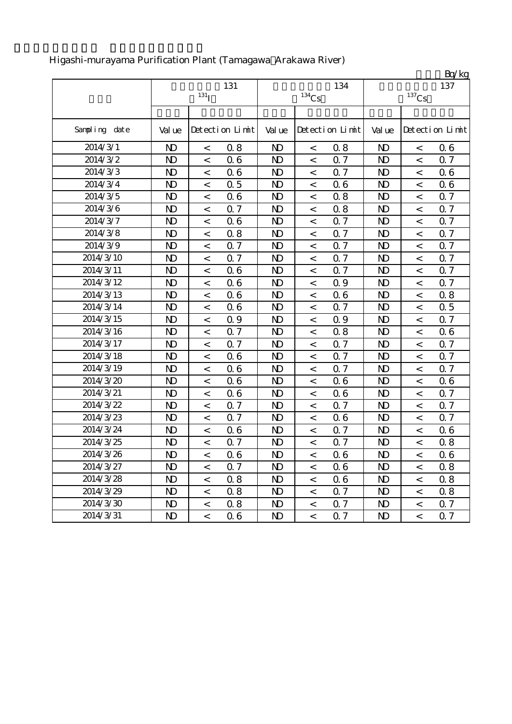|               |                |                    |                 |                |                          |                 |                |                          | Bq/kg           |
|---------------|----------------|--------------------|-----------------|----------------|--------------------------|-----------------|----------------|--------------------------|-----------------|
|               |                |                    | 131             |                |                          | 134             |                |                          | 137             |
|               |                | $131$ <sub>I</sub> |                 |                | $^{134}\mathrm{Cs}$      |                 |                | $^{137}\mathrm{Cs}$      |                 |
|               |                |                    |                 |                |                          |                 |                |                          |                 |
| Sampling date | Val ue         |                    | Detection Limit | Val ue         |                          | Detection Limit | Val ue         |                          | Detection Limit |
| 2014/3/1      | $\mathbf{D}$   | $\,<$              | 0.8             | $\mathbf{D}$   | $\,<\,$                  | 0.8             | $\mathbf{D}$   | $\,<$                    | 06              |
| 2014/3/2      | $\mathbf{D}$   | $\,<$              | 06              | N <sub>D</sub> | $\overline{\phantom{a}}$ | 0.7             | $\mathbf{D}$   | $\prec$                  | 0.7             |
| 2014/3/3      | $\mathbf{D}$   | $\,<$              | 06              | N <sub>D</sub> | $\,<$                    | 0.7             | $\mathbf{D}$   | $\,<$                    | 06              |
| 2014/3/4      | $\mathbf{D}$   | $\,<$              | 0.5             | $\mathbf{D}$   | $\,<\,$                  | 0.6             | $\mathbf{D}$   | $\,<$                    | 06              |
| 2014/3/5      | N <sub>D</sub> | $\,<$              | 06              | N <sub>D</sub> | $\overline{\phantom{0}}$ | 0.8             | N <sub>D</sub> | $\,<\,$                  | Q 7             |
| 2014/3/6      | $\mathbf{D}$   | $\,<$              | 0.7             | N <sub>D</sub> | $\,<\,$                  | 0.8             | $\mathbf{D}$   | $\,<$                    | Q 7             |
| 2014/3/7      | $\mathbf{D}$   | $\,<$              | 06              | $\mathbf{D}$   | $\,<\,$                  | 0.7             | $\mathbf{D}$   | $\,<\,$                  | Q 7             |
| 2014/3/8      | $\mathbf{D}$   | $\,<$              | 0.8             | $\mathbf{D}$   | $\,<$                    | 0.7             | $\mathbf{D}$   | $\,<$                    | Q 7             |
| 2014/3/9      | $\mathbf{D}$   | $\,<$              | 0.7             | $\mathbf{D}$   | $\,<$                    | 0.7             | $\mathbf{D}$   | $\,<$                    | 0.7             |
| 2014/3/10     | $\mathbf{D}$   | $\,<$              | 0.7             | $\mathbf{D}$   | $\,<$                    | 0.7             | $\mathbf{D}$   | $\,<$                    | 0.7             |
| 2014/3/11     | $\mathbf{D}$   | $\,<$              | 06              | N <sub>D</sub> | $\,<$                    | 0.7             | $\mathbf{D}$   | $\,<\,$                  | Q 7             |
| 2014/3/12     | $\mathbf{D}$   | $\,<$              | 06              | $\mathbf{D}$   | $\,<\,$                  | 0.9             | $\mathbf{D}$   | $\,<$                    | Q 7             |
| 2014/3/13     | $\mathbf{D}$   | $\,<$              | 06              | $\mathbf{D}$   | $\,<$                    | 0.6             | $\mathbf{D}$   | $\,<$                    | 0.8             |
| 2014/3/14     | $\mathbf{D}$   | $\,<$              | 06              | $\mathbf{D}$   | $\,<\,$                  | 0.7             | $\mathbf{D}$   | $\,<$                    | 0.5             |
| 2014/3/15     | $\mathbf{D}$   | $\,<$              | Q 9             | $\mathbf{D}$   | $\,<$                    | 0.9             | $\mathbf{D}$   | $\,<$                    | Q 7             |
| 2014/3/16     | $\mathbf{D}$   | $\,<$              | 0.7             | $\mathbf{D}$   | $\,<$                    | 0.8             | $\mathbf{D}$   | $\,<$                    | 06              |
| 2014/3/17     | $\mathbf{D}$   | $\,<$              | 0.7             | $\mathbf{D}$   | $\,<\,$                  | 0.7             | $\mathbf{D}$   | $\,<\,$                  | 0.7             |
| 2014/3/18     | $\mathbf{D}$   | $\,<$              | 06              | $\mathbf{D}$   | $\,<$                    | 0.7             | N <sub>D</sub> | $\,<$                    | Q 7             |
| 2014/3/19     | $\mathbf{D}$   | $\,<$              | 06              | $\mathbf{D}$   | $\,<\,$                  | 0.7             | $\mathbf{D}$   | $\,<$                    | 0.7             |
| 2014/3/20     | $\mathbf{D}$   | $\,<$              | 06              | $\mathbf{D}$   | $\,<\,$                  | 0.6             | $\mathbf{D}$   | $\,<$                    | 06              |
| 2014/3/21     | $\mathbf{D}$   | $\,<$              | 06              | $\mathbf{D}$   | $\,<$                    | 0.6             | $\mathbf{D}$   | $\,<$                    | Q 7             |
| 2014/3/22     | $\mathbf{D}$   | $\,<\,$            | 0.7             | N <sub>D</sub> | $\,<\,$                  | 0.7             | N <sub>D</sub> | $\,<\,$                  | 0.7             |
| 2014/3/23     | $\mathbf{D}$   | $\,<$              | 0.7             | N <sub>D</sub> | $\,<$                    | 0.6             | $\mathbf{D}$   | $\,<$                    | 0.7             |
| 2014/3/24     | $\mathbf{D}$   | $\,<$              | 06              | N <sub>D</sub> | $\,<$                    | 0.7             | N <sub>D</sub> | $\,<$                    | 06              |
| 2014/3/25     | $\mathbf{D}$   | $\,<$              | 0.7             | $\mathbf{D}$   | $\,<$                    | 0.7             | N <sub>D</sub> | $\,<$                    | 0.8             |
| 2014/3/26     | $\mathbf{D}$   | $\lt$              | 06              | $\mathbf{D}$   | $\lt$                    | 0.6             | $\mathbf{D}$   | $\lt$                    | 06              |
| 2014/3/27     | N <sub>D</sub> | $\,<$              | 0.7             | N <sub>D</sub> | $\overline{\phantom{a}}$ | 0.6             | N <sub>D</sub> | $\,<\,$                  | 0.8             |
| 2014/3/28     | $\mathbf{D}$   | $\,<$              | 0.8             | $\mathbf{D}$   | $\,<$                    | 0.6             | $\mathbf{D}$   | $\,<\,$                  | 0.8             |
| 2014/3/29     | $\mathbf{D}$   | $\,<\,$            | 0.8             | N <sub>D</sub> | $\,<$                    | 0.7             | N <sub>D</sub> | $\,<\,$                  | 0.8             |
| 2014/3/30     | $\mathbf{D}$   | $\,<\,$            | 08              | ND.            | $\,<\,$                  | 0.7             | N <sub>D</sub> | $\,<\,$                  | 0.7             |
| 2014/3/31     | ND.            | $\,<\,$            | 06              | $\mathbf{D}$   | $\,<$                    | 0.7             | N <sub>D</sub> | $\overline{\phantom{a}}$ | 0.7             |

## Higashi-murayama Purification Plant (Tamagawa Arakawa River)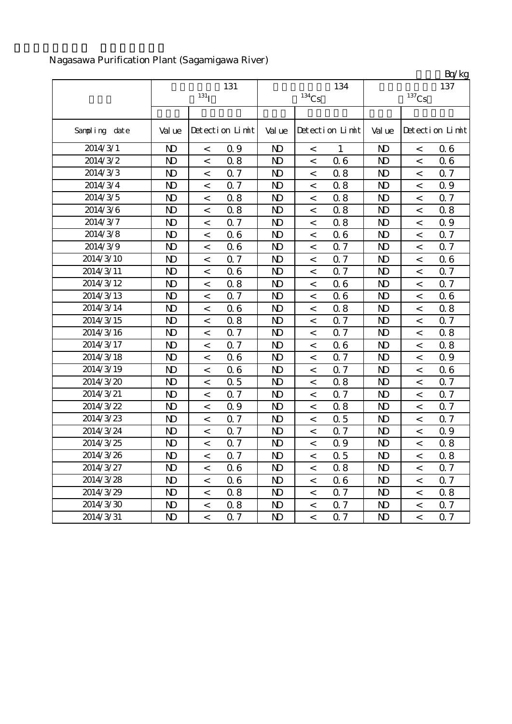## Nagasawa Purification Plant (Sagamigawa River)

|               |                           |         |                 |                |          |                 |                 |                | Bq/kg           |  |
|---------------|---------------------------|---------|-----------------|----------------|----------|-----------------|-----------------|----------------|-----------------|--|
|               | 131<br>$131$ <sup>T</sup> |         |                 |                | $134$ Cs | 134             | 137<br>$137$ Cs |                |                 |  |
|               |                           |         |                 |                |          |                 |                 |                |                 |  |
| Sampling date | Val ue                    |         | Detection Limit | Val ue         |          | Detection Limit | Val ue          |                | Detection Limit |  |
| 2014/3/1      | $\mathbf{D}$              | $\,<\,$ | 0.9             | N <sub>D</sub> | $\,<$    | $\mathbf{1}$    | $\mathbf{D}$    | $\,<$          | 06              |  |
| 2014/3/2      | $\mathbf{D}$              | $\,<$   | 0.8             | N <sub>D</sub> | $\lt$    | 0.6             | N <sub>D</sub>  | $\lt$          | 06              |  |
| 2014/3/3      | N <sub>D</sub>            | $\,<$   | 0.7             | N <sub>D</sub> | $\,<$    | 0.8             | N <sub>D</sub>  | $\,<$          | Q 7             |  |
| 2014/3/4      | $\mathbf{D}$              | $\,<$   | 0.7             | N <sub>D</sub> | $\,<$    | 0.8             | N <sub>D</sub>  | $\,<$          | 0.9             |  |
| 2014/3/5      | $\mathbf{D}$              | $\,<\,$ | 0.8             | $\mathbf{D}$   | $\,<\,$  | 0.8             | $\mathbf{D}$    | $\,<\,$        | 0.7             |  |
| 2014/3/6      | N <sub>D</sub>            | $\,<$   | 0.8             | N <sub>D</sub> | $\,<\,$  | 0.8             | N <sub>D</sub>  | $\,<\,$        | 0.8             |  |
| 2014/3/7      | $\mathbf{D}$              | $\,<$   | 0.7             | N <sub>D</sub> | $\,<$    | 0.8             | N <sub>D</sub>  | $\,<\,$        | 0.9             |  |
| 2014/3/8      | $\mathbf{D}$              | $\,<$   | 06              | N <sub>D</sub> | $\,<$    | 0.6             | N <sub>D</sub>  | $\,<$          | 0.7             |  |
| 2014/3/9      | $\mathbf{D}$              | $\,<$   | 06              | N <sub>D</sub> | $\,<$    | 0.7             | N <sub>D</sub>  | $\,<$          | 0.7             |  |
| 2014/3/10     | $\mathbf{D}$              | $\,<$   | 0.7             | N <sub>D</sub> | $\,<$    | 0.7             | $\mathbf{D}$    | $\,<$          | 06              |  |
| 2014/3/11     | N <sub>D</sub>            | $\,<$   | 06              | N <sub>D</sub> | $\,<$    | 0.7             | N <sub>D</sub>  | $\overline{a}$ | 0.7             |  |
| 2014/3/12     | $\mathbf{D}$              | $\,<$   | 0.8             | N <sub>D</sub> | $\,<$    | 0.6             | N <sub>D</sub>  | $\,<$          | 0.7             |  |
| 2014/3/13     | $\mathbf{D}$              | $\,<$   | 0.7             | N <sub>D</sub> | $\,<\,$  | 0.6             | $\mathbf{D}$    | $\,<$          | 06              |  |
| 2014/3/14     | N <sub>D</sub>            | $\lt$   | 06              | N <sub>D</sub> | $\,<$    | 0.8             | $\mathbf{D}$    | $\,<$          | 0.8             |  |
| 2014/3/15     | N <sub>D</sub>            | $\,<$   | 0.8             | N <sub>D</sub> | $\,<$    | 0.7             | N <sub>D</sub>  | $\,<$          | 0.7             |  |
| 2014/3/16     | N <sub>D</sub>            | $\,<$   | Q 7             | N <sub>D</sub> | $\,<$    | 0.7             | N <sub>D</sub>  | $\,<\,$        | 0.8             |  |
| 2014/3/17     | $\mathbf{D}$              | $\,<$   | Q 7             | $\mathbf{D}$   | $\,<$    | 0.6             | N <sub>D</sub>  | $\,<$          | 0.8             |  |
| 2014/3/18     | $\mathbf{D}$              | $\,<$   | 06              | N <sub>D</sub> | $\,<\,$  | 0.7             | $\mathbf{D}$    | $\,<\,$        | Q 9             |  |
| 2014/3/19     | $\mathbf{D}$              | $\,<$   | 06              | N <sub>D</sub> | $\,<$    | 0.7             | N <sub>D</sub>  | $\,<$          | 06              |  |
| 2014/3/20     | N <sub>D</sub>            | $\,<$   | 0.5             | N <sub>D</sub> | $\,<$    | 0.8             | N <sub>D</sub>  | $\,<\,$        | 0.7             |  |
| 2014/3/21     | $\mathbf{D}$              | $\,<$   | 0.7             | $\mathbf{D}$   | $\,<\,$  | 0.7             | N <sub>D</sub>  | $\,<$          | Q 7             |  |
| 2014/3/22     | $\mathbf{D}$              | $\,<$   | 0.9             | N <sub>D</sub> | $\,<\,$  | 0.8             | $\mathbf{D}$    | $\,<$          | Q 7             |  |
| 2014/3/23     | N <sub>D</sub>            | $\,<$   | Q 7             | N <sub>D</sub> | $\,<$    | 0.5             | N <sub>D</sub>  | $\,<\,$        | Q 7             |  |
| 2014/3/24     | $\mathbf{D}$              | $\,<$   | 0.7             | N <sub>D</sub> | $\,<\,$  | 0.7             | N <sub>D</sub>  | $\,<$          | 0.9             |  |
| 2014/3/25     | N <sub>D</sub>            | $\,<$   | 0.7             | N <sub>D</sub> | $\,<$    | 0.9             | N <sub>D</sub>  | $\,<$          | 0.8             |  |
| 2014/3/26     | N <sub>D</sub>            | $\,<\,$ | Q 7             | $\mathbf{D}$   | $\,<$    | 0.5             | $\mathbf{D}$    | $\,<\,$        | 0.8             |  |
| 2014/3/27     | N <sub>D</sub>            | $\,<$   | 06              | $\mathbf{D}$   | $\,<$    | 0.8             | $\mathbf{D}$    | $\,<\,$        | 0.7             |  |
| 2014/3/28     | N <sub>D</sub>            | $\,<$   | 06              | $\mathbf{D}$   | $\,<$    | 06              | N <sub>D</sub>  | $\,<\,$        | 0.7             |  |
| 2014/3/29     | N <sub>D</sub>            | $\,<\,$ | 0.8             | N <sub>D</sub> | $\,<\,$  | 0.7             | N <sub>D</sub>  | $\,<\,$        | 0.8             |  |
| 2014/3/30     | N <sub>D</sub>            | $\,<$   | 0.8             | $\mathbf{D}$   | $\,<$    | 0.7             | N <sub>D</sub>  | $\,<\,$        | 0.7             |  |
| 2014/3/31     | $\mathbf{D}$              | $\,<\,$ | 0.7             | $\mathbf{D}$   | $\,<\,$  | 0.7             | $\mathbf{D}$    | $\,<\,$        | 0.7             |  |